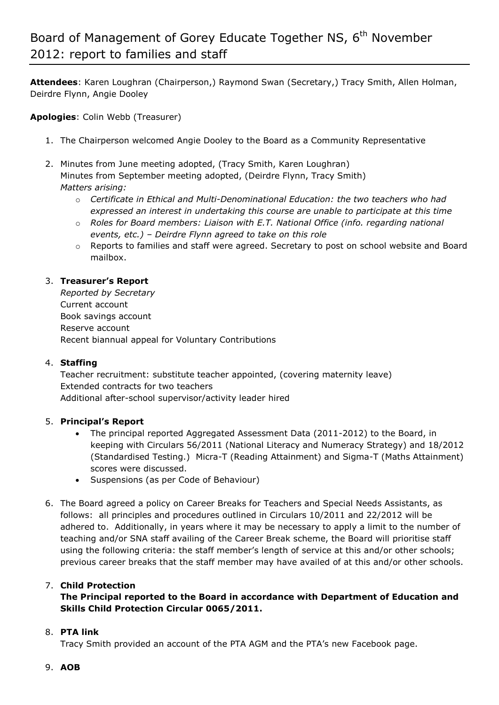**Attendees**: Karen Loughran (Chairperson,) Raymond Swan (Secretary,) Tracy Smith, Allen Holman, Deirdre Flynn, Angie Dooley

**Apologies**: Colin Webb (Treasurer)

- 1. The Chairperson welcomed Angie Dooley to the Board as a Community Representative
- 2. Minutes from June meeting adopted, (Tracy Smith, Karen Loughran) Minutes from September meeting adopted, (Deirdre Flynn, Tracy Smith) *Matters arising:* 
	- o *Certificate in Ethical and Multi-Denominational Education: the two teachers who had expressed an interest in undertaking this course are unable to participate at this time*
	- o *Roles for Board members: Liaison with E.T. National Office (info. regarding national events, etc.) – Deirdre Flynn agreed to take on this role*
	- $\circ$  Reports to families and staff were agreed. Secretary to post on school website and Board mailbox.

# 3. **Treasurer's Report**

*Reported by Secretary* Current account Book savings account Reserve account Recent biannual appeal for Voluntary Contributions

### 4. **Staffing**

Teacher recruitment: substitute teacher appointed, (covering maternity leave) Extended contracts for two teachers Additional after-school supervisor/activity leader hired

### 5. **Principal's Report**

- The principal reported Aggregated Assessment Data (2011-2012) to the Board, in keeping with Circulars 56/2011 (National Literacy and Numeracy Strategy) and 18/2012 (Standardised Testing.) Micra-T (Reading Attainment) and Sigma-T (Maths Attainment) scores were discussed.
- Suspensions (as per Code of Behaviour)
- 6. The Board agreed a policy on Career Breaks for Teachers and Special Needs Assistants, as follows: all principles and procedures outlined in Circulars 10/2011 and 22/2012 will be adhered to. Additionally, in years where it may be necessary to apply a limit to the number of teaching and/or SNA staff availing of the Career Break scheme, the Board will prioritise staff using the following criteria: the staff member's length of service at this and/or other schools; previous career breaks that the staff member may have availed of at this and/or other schools.

# 7. **Child Protection**

# **The Principal reported to the Board in accordance with Department of Education and Skills Child Protection Circular 0065/2011.**

### 8. **PTA link**

Tracy Smith provided an account of the PTA AGM and the PTA's new Facebook page.